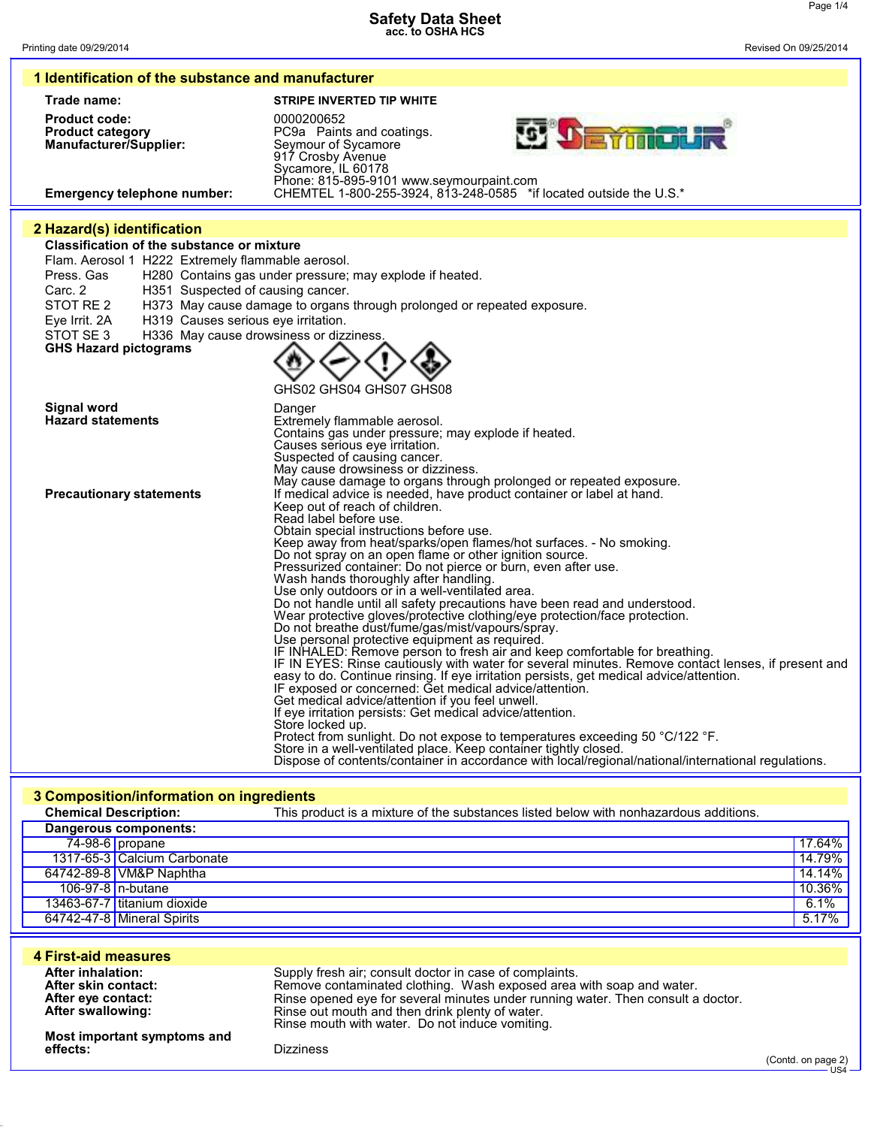| 1 Identification of the substance and manufacturer                                                              |                                                                                                                                                                                                                             |  |
|-----------------------------------------------------------------------------------------------------------------|-----------------------------------------------------------------------------------------------------------------------------------------------------------------------------------------------------------------------------|--|
| Trade name:                                                                                                     | <b>STRIPE INVERTED TIP WHITE</b>                                                                                                                                                                                            |  |
| <b>Product code:</b><br><b>Product category</b><br>Manufacturer/Supplier:<br><b>Emergency telephone number:</b> | 0000200652<br>PC9a Paints and coatings.<br>Seymour of Sycamore<br>917 Crosby Avenue<br>Sycamore, IL 60178<br>Phone: 815-895-9101 www.seymourpaint.com<br>CHEMTEL 1-800-255-3924, 813-248-0585 *if located outside the U.S.* |  |
| 2 Hazard(s) identification                                                                                      |                                                                                                                                                                                                                             |  |
| <b>Classification of the substance or mixture</b>                                                               |                                                                                                                                                                                                                             |  |
| Flam. Aerosol 1 H222 Extremely flammable aerosol.                                                               |                                                                                                                                                                                                                             |  |
| Press, Gas                                                                                                      | H280 Contains gas under pressure; may explode if heated.                                                                                                                                                                    |  |
| Carc. 2<br>H351 Suspected of causing cancer.                                                                    |                                                                                                                                                                                                                             |  |
| STOT RE 2                                                                                                       | H373 May cause damage to organs through prolonged or repeated exposure.                                                                                                                                                     |  |
| H319 Causes serious eye irritation.<br>Eye Irrit. 2A                                                            |                                                                                                                                                                                                                             |  |
| STOT SE3<br>H336 May cause drowsiness or dizziness.<br><b>GHS Hazard pictograms</b>                             |                                                                                                                                                                                                                             |  |
|                                                                                                                 |                                                                                                                                                                                                                             |  |
|                                                                                                                 |                                                                                                                                                                                                                             |  |
|                                                                                                                 | GHS02 GHS04 GHS07 GHS08                                                                                                                                                                                                     |  |
| Signal word                                                                                                     | Danger                                                                                                                                                                                                                      |  |
| <b>Hazard statements</b>                                                                                        | Extremely flammable aerosol.<br>Contains gas under pressure; may explode if heated.                                                                                                                                         |  |
|                                                                                                                 | Causes serious eye irritation.                                                                                                                                                                                              |  |
|                                                                                                                 | Suspected of causing cancer.<br>May cause drowsiness or dizziness.                                                                                                                                                          |  |
|                                                                                                                 | May cause damage to organs through prolonged or repeated exposure.                                                                                                                                                          |  |
| <b>Precautionary statements</b>                                                                                 | If medical advice is needed, have product container or label at hand.                                                                                                                                                       |  |
|                                                                                                                 | Keep out of reach of children.<br>Read label before use.                                                                                                                                                                    |  |
|                                                                                                                 | Obtain special instructions before use.                                                                                                                                                                                     |  |
|                                                                                                                 | Keep away from heat/sparks/open flames/hot surfaces. - No smoking.<br>Do not spray on an open flame or other ignition source.                                                                                               |  |
|                                                                                                                 | Pressurized container: Do not pierce or burn, even after use.                                                                                                                                                               |  |
|                                                                                                                 | Wash hands thoroughly after handling.                                                                                                                                                                                       |  |
|                                                                                                                 | Use only outdoors or in a well-ventilated area.<br>Do not handle until all safety precautions have been read and understood.                                                                                                |  |
|                                                                                                                 | Wear protective gloves/protective clothing/eye protection/face protection.                                                                                                                                                  |  |
|                                                                                                                 | Do not breathe dust/fume/gas/mist/vapours/spray.<br>Use personal protective equipment as required.                                                                                                                          |  |
|                                                                                                                 | IF INHALED: Remove person to fresh air and keep comfortable for breathing.                                                                                                                                                  |  |
|                                                                                                                 | IF IN EYES: Rinse cautiously with water for several minutes. Remove contact lenses, if present and                                                                                                                          |  |
|                                                                                                                 | easy to do. Continue rinsing. If eye irritation persists, get medical advice/attention.<br>IF exposed or concerned: Get medical advice/attention.                                                                           |  |
|                                                                                                                 | Get medical advice/attention if you feel unwell.                                                                                                                                                                            |  |
|                                                                                                                 | If eye irritation persists: Get medical advice/attention.<br>Store locked up.                                                                                                                                               |  |
|                                                                                                                 | Protect from sunlight. Do not expose to temperatures exceeding 50 °C/122 °F.                                                                                                                                                |  |
|                                                                                                                 | Store in a well-ventilated place. Keep container tightly closed.                                                                                                                                                            |  |
|                                                                                                                 | Dispose of contents/container in accordance with local/regional/national/international regulations.                                                                                                                         |  |

**3 Composition/information on ingredients**

| <b>Chemical Description:</b> |                              | This product is a mixture of the substances listed below with nonhazardous additions. |        |
|------------------------------|------------------------------|---------------------------------------------------------------------------------------|--------|
|                              | <b>Dangerous components:</b> |                                                                                       |        |
|                              | $74-98-6$ propane            |                                                                                       | 17.64% |
|                              | 1317-65-3 Calcium Carbonate  |                                                                                       | 14.79% |
|                              | 64742-89-8 VM&P Naphtha      |                                                                                       | 14.14% |
|                              | 106-97-8 n-butane            |                                                                                       | 10.36% |
|                              | 13463-67-7 titanium dioxide  |                                                                                       | 6.1%   |
|                              | 64742-47-8 Mineral Spirits   |                                                                                       | 5.17%  |

| 4 First-aid measures<br>After inhalation:                      |                                                                                                                                                                                                                                                                                                                           |                                   |
|----------------------------------------------------------------|---------------------------------------------------------------------------------------------------------------------------------------------------------------------------------------------------------------------------------------------------------------------------------------------------------------------------|-----------------------------------|
| After skin contact:<br>After eye contact:<br>After swallowing: | Supply fresh air; consult doctor in case of complaints.<br>Remove contaminated clothing. Wash exposed area with soap and water.<br>Rinse opened eye for several minutes under running water. Then consult a doctor.<br>Rinse out mouth and then drink plenty of water.<br>Rinse mouth with water. Do not induce vomiting. |                                   |
| Most important symptoms and<br>effects:                        | <b>Dizziness</b>                                                                                                                                                                                                                                                                                                          | (Contd. on page 2)<br>$\cup$ S4 - |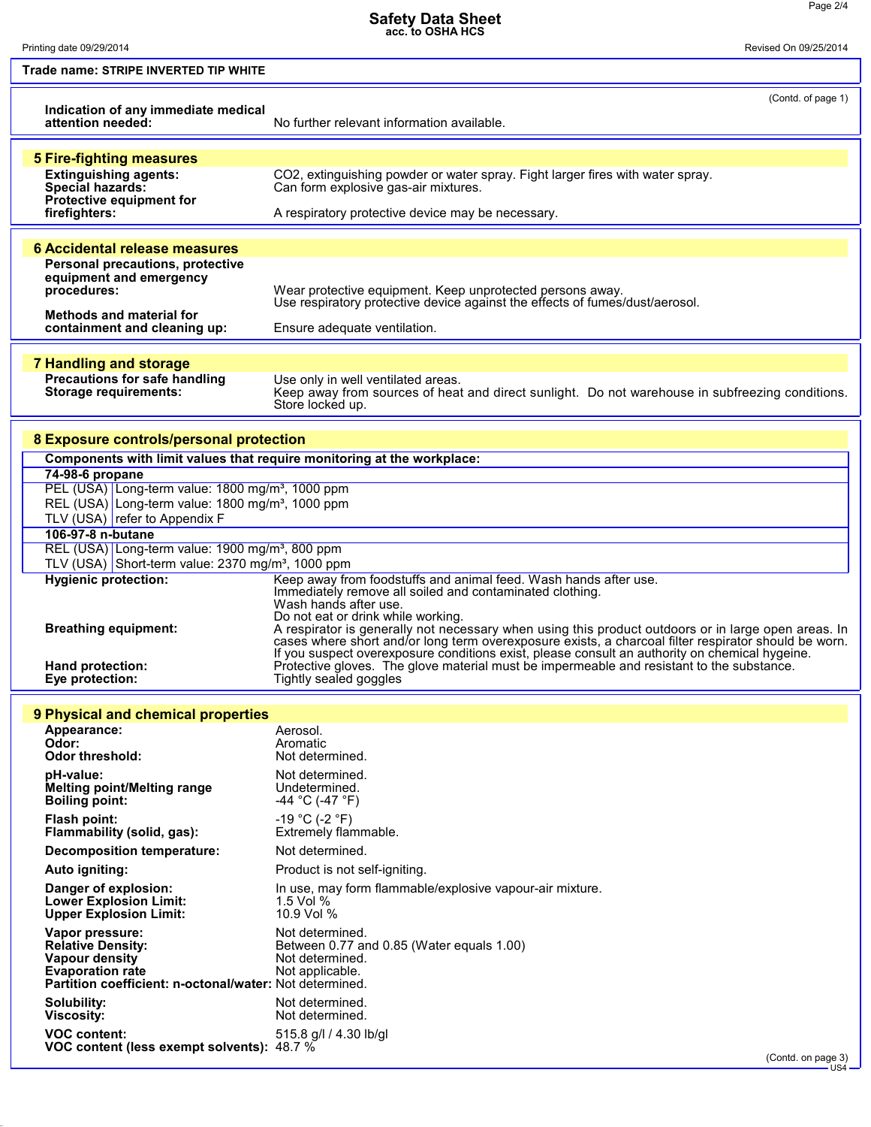(Contd. on page 3) US4

Printing date 09/29/2014 Revised On 09/25/2014

| Trade name: STRIPE INVERTED TIP WHITE                                                                                          |                                                                                                                                                                                                        |  |
|--------------------------------------------------------------------------------------------------------------------------------|--------------------------------------------------------------------------------------------------------------------------------------------------------------------------------------------------------|--|
|                                                                                                                                | (Contd. of page 1)                                                                                                                                                                                     |  |
| Indication of any immediate medical<br>attention needed:                                                                       | No further relevant information available.                                                                                                                                                             |  |
|                                                                                                                                |                                                                                                                                                                                                        |  |
| <b>5 Fire-fighting measures</b>                                                                                                |                                                                                                                                                                                                        |  |
| <b>Extinguishing agents:</b><br>Special hazards:                                                                               | CO2, extinguishing powder or water spray. Fight larger fires with water spray.<br>Can form explosive gas-air mixtures.                                                                                 |  |
| Protective equipment for<br>firefighters:                                                                                      | A respiratory protective device may be necessary.                                                                                                                                                      |  |
|                                                                                                                                |                                                                                                                                                                                                        |  |
| <b>6 Accidental release measures</b>                                                                                           |                                                                                                                                                                                                        |  |
| Personal precautions, protective<br>equipment and emergency                                                                    |                                                                                                                                                                                                        |  |
| procedures:                                                                                                                    | Wear protective equipment. Keep unprotected persons away.<br>Use respiratory protective device against the effects of fumes/dust/aerosol.                                                              |  |
| <b>Methods and material for</b>                                                                                                |                                                                                                                                                                                                        |  |
| containment and cleaning up:                                                                                                   | Ensure adequate ventilation.                                                                                                                                                                           |  |
| <b>7 Handling and storage</b>                                                                                                  |                                                                                                                                                                                                        |  |
| Precautions for safe handling<br><b>Storage requirements:</b>                                                                  | Use only in well ventilated areas.                                                                                                                                                                     |  |
|                                                                                                                                | Keep away from sources of heat and direct sunlight. Do not warehouse in subfreezing conditions.<br>Store locked up.                                                                                    |  |
|                                                                                                                                |                                                                                                                                                                                                        |  |
| 8 Exposure controls/personal protection<br>Components with limit values that require monitoring at the workplace:              |                                                                                                                                                                                                        |  |
| 74-98-6 propane                                                                                                                |                                                                                                                                                                                                        |  |
| PEL (USA) Long-term value: 1800 mg/m <sup>3</sup> , 1000 ppm                                                                   |                                                                                                                                                                                                        |  |
| REL (USA) Long-term value: 1800 mg/m <sup>3</sup> , 1000 ppm<br>TLV (USA) refer to Appendix F                                  |                                                                                                                                                                                                        |  |
| 106-97-8 n-butane                                                                                                              |                                                                                                                                                                                                        |  |
| REL (USA) Long-term value: 1900 mg/m <sup>3</sup> , 800 ppm<br>TLV (USA) Short-term value: $2370$ mg/m <sup>3</sup> , 1000 ppm |                                                                                                                                                                                                        |  |
| <b>Hygienic protection:</b>                                                                                                    | Keep away from foodstuffs and animal feed. Wash hands after use.                                                                                                                                       |  |
|                                                                                                                                | Immediately remove all soiled and contaminated clothing.<br>Wash hands after use.                                                                                                                      |  |
| <b>Breathing equipment:</b>                                                                                                    | Do not eat or drink while working.<br>A respirator is generally not necessary when using this product outdoors or in large open areas. In                                                              |  |
|                                                                                                                                | cases where short and/or long term overexposure exists, a charcoal filter respirator should be worn.<br>If you suspect overexposure conditions exist, please consult an authority on chemical hygeine. |  |
| <b>Hand protection:</b>                                                                                                        | Protective gloves. The glove material must be impermeable and resistant to the substance.                                                                                                              |  |
| Eye protection:                                                                                                                | Tightly sealed goggles                                                                                                                                                                                 |  |
| 9 Physical and chemical properties                                                                                             |                                                                                                                                                                                                        |  |
| Appearance:<br>Odor:                                                                                                           | Aerosol.<br>Aromatic                                                                                                                                                                                   |  |
| Odor threshold:                                                                                                                | Not determined.                                                                                                                                                                                        |  |
| pH-value:                                                                                                                      | Not determined.                                                                                                                                                                                        |  |
| <b>Melting point/Melting range</b><br><b>Boiling point:</b>                                                                    | Undetermined.<br>-44 °C (-47 °F)                                                                                                                                                                       |  |
| Flash point:                                                                                                                   | -19 °C (-2 °F)                                                                                                                                                                                         |  |
| Flammability (solid, gas):<br><b>Decomposition temperature:</b>                                                                | Extremely flammable.<br>Not determined.                                                                                                                                                                |  |
| Auto igniting:                                                                                                                 | Product is not self-igniting.                                                                                                                                                                          |  |
| Danger of explosion:                                                                                                           | In use, may form flammable/explosive vapour-air mixture.                                                                                                                                               |  |
| <b>Lower Explosion Limit:</b><br><b>Upper Explosion Limit:</b>                                                                 | 1.5 Vol $%$<br>10.9 Vol %                                                                                                                                                                              |  |
| Vapor pressure:                                                                                                                | Not determined.                                                                                                                                                                                        |  |
| <b>Relative Density:</b><br>Vapour density                                                                                     | Between 0.77 and 0.85 (Water equals 1.00)<br>Not determined.                                                                                                                                           |  |
| <b>Evaporation rate</b><br>Partition coefficient: n-octonal/water: Not determined.                                             | Not applicable.                                                                                                                                                                                        |  |
| Solubility:                                                                                                                    | Not determined.                                                                                                                                                                                        |  |
| <b>Viscosity:</b>                                                                                                              | Not determined.                                                                                                                                                                                        |  |
| <b>VOC content:</b><br>VOC content (less exempt solvents): 48.7 %                                                              | 515.8 g/l / 4.30 lb/gl                                                                                                                                                                                 |  |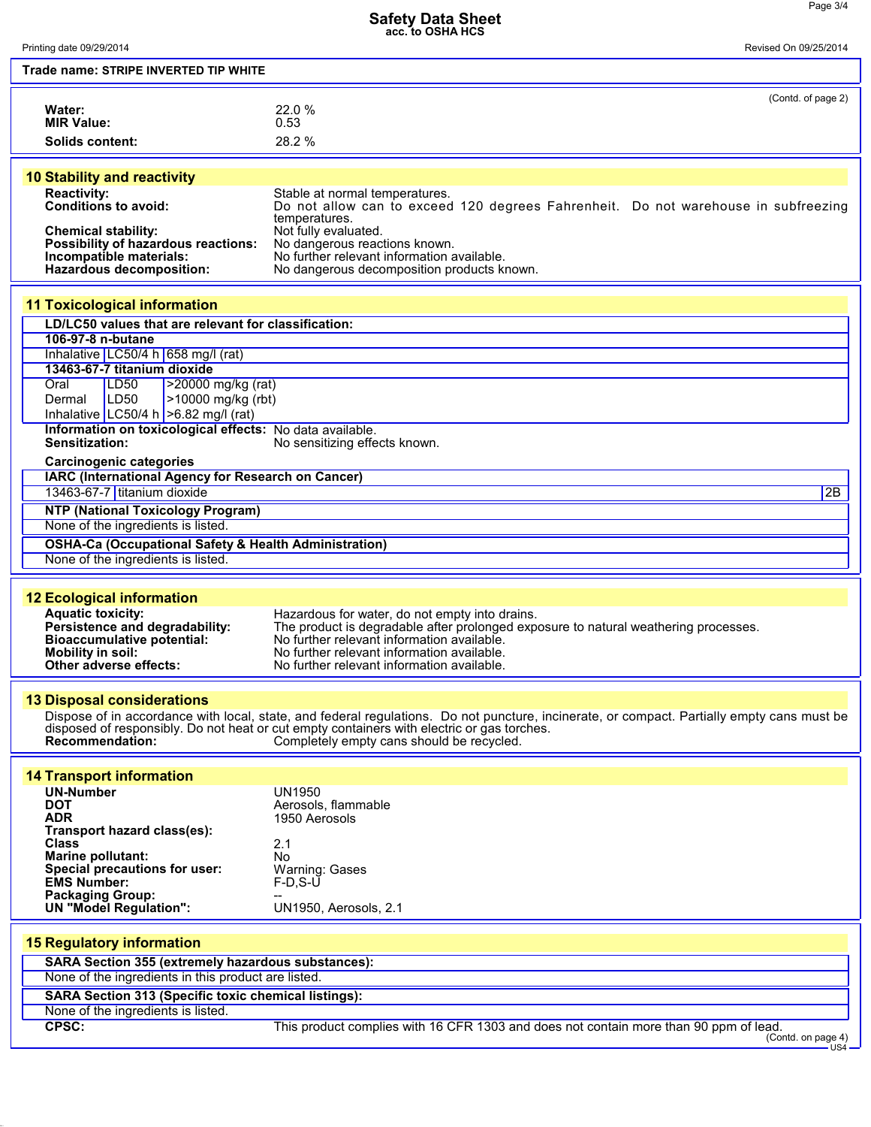## **Safety Data Sheet acc. to OSHA HCS**

| Printing date 09/29/2014                                                                    | טטוור אווטט<br>Revised On 09/25/2014                                                                                                       |  |
|---------------------------------------------------------------------------------------------|--------------------------------------------------------------------------------------------------------------------------------------------|--|
|                                                                                             |                                                                                                                                            |  |
| Trade name: STRIPE INVERTED TIP WHITE                                                       |                                                                                                                                            |  |
|                                                                                             | (Contd. of page 2)                                                                                                                         |  |
| Water:                                                                                      | 22.0 %                                                                                                                                     |  |
| <b>MIR Value:</b>                                                                           | 0.53                                                                                                                                       |  |
| Solids content:                                                                             | 28.2 %                                                                                                                                     |  |
|                                                                                             |                                                                                                                                            |  |
| <b>10 Stability and reactivity</b>                                                          |                                                                                                                                            |  |
| <b>Reactivity:</b>                                                                          | Stable at normal temperatures.                                                                                                             |  |
| Conditions to avoid:                                                                        | Do not allow can to exceed 120 degrees Fahrenheit. Do not warehouse in subfreezing                                                         |  |
|                                                                                             | temperatures.                                                                                                                              |  |
| <b>Chemical stability:</b><br>Possibility of hazardous reactions:                           | Not fully evaluated.<br>No dangerous reactions known.                                                                                      |  |
| Incompatible materials:                                                                     | No further relevant information available.                                                                                                 |  |
| Hazardous decomposition:                                                                    | No dangerous decomposition products known.                                                                                                 |  |
|                                                                                             |                                                                                                                                            |  |
| <b>11 Toxicological information</b>                                                         |                                                                                                                                            |  |
| LD/LC50 values that are relevant for classification:                                        |                                                                                                                                            |  |
| 106-97-8 n-butane                                                                           |                                                                                                                                            |  |
| Inhalative LC50/4 h 658 mg/l (rat)                                                          |                                                                                                                                            |  |
| 13463-67-7 titanium dioxide                                                                 |                                                                                                                                            |  |
| >20000 mg/kg (rat)<br>Oral<br>LD50                                                          |                                                                                                                                            |  |
| LD50<br>>10000 mg/kg (rbt)<br>Dermal                                                        |                                                                                                                                            |  |
| Inhalative LC50/4 h $>6.82$ mg/l (rat)                                                      |                                                                                                                                            |  |
| Information on toxicological effects: No data available.<br><b>Sensitization:</b>           | No sensitizing effects known.                                                                                                              |  |
|                                                                                             |                                                                                                                                            |  |
| <b>Carcinogenic categories</b><br><b>IARC (International Agency for Research on Cancer)</b> |                                                                                                                                            |  |
| 13463-67-7 titanium dioxide                                                                 | 2B                                                                                                                                         |  |
|                                                                                             |                                                                                                                                            |  |
| <b>NTP (National Toxicology Program)</b><br>None of the ingredients is listed.              |                                                                                                                                            |  |
|                                                                                             |                                                                                                                                            |  |
| <b>OSHA-Ca (Occupational Safety &amp; Health Administration)</b>                            |                                                                                                                                            |  |
| None of the ingredients is listed.                                                          |                                                                                                                                            |  |
|                                                                                             |                                                                                                                                            |  |
| <b>12 Ecological information</b>                                                            |                                                                                                                                            |  |
| <b>Aquatic toxicity:</b>                                                                    | Hazardous for water, do not empty into drains.                                                                                             |  |
| Persistence and degradability:<br><b>Bioaccumulative potential:</b>                         | The product is degradable after prolonged exposure to natural weathering processes.<br>No further relevant information available.          |  |
| <b>Mobility in soil:</b>                                                                    | No further relevant information available.                                                                                                 |  |
| Other adverse effects:                                                                      | No further relevant information available.                                                                                                 |  |
|                                                                                             |                                                                                                                                            |  |
| <b>13 Disposal considerations</b>                                                           |                                                                                                                                            |  |
|                                                                                             | Dispose of in accordance with local, state, and federal regulations. Do not puncture, incinerate, or compact. Partially empty cans must be |  |
|                                                                                             | disposed of responsibly. Do not heat or cut empty containers with electric or gas torches.                                                 |  |
| Recommendation:                                                                             | Completely empty cans should be recycled.                                                                                                  |  |
|                                                                                             |                                                                                                                                            |  |
| <b>14 Transport information</b>                                                             |                                                                                                                                            |  |
| <b>UN-Number</b>                                                                            | <b>UN1950</b>                                                                                                                              |  |
| <b>DOT</b><br><b>ADR</b>                                                                    | Aerosols, flammable<br>1950 Aerosols                                                                                                       |  |
| Transport hazard class(es):                                                                 |                                                                                                                                            |  |
| <b>Class</b>                                                                                | 2.1                                                                                                                                        |  |
| <b>Marine pollutant:</b>                                                                    | No                                                                                                                                         |  |
| Special precautions for user:<br><b>EMS Number:</b>                                         | <b>Warning: Gases</b><br>$F-D, S-U$                                                                                                        |  |
| <b>Packaging Group:</b>                                                                     |                                                                                                                                            |  |
| <b>UN "Model Regulation":</b>                                                               | UN1950, Aerosols, 2.1                                                                                                                      |  |
|                                                                                             |                                                                                                                                            |  |
| <b>15 Regulatory information</b>                                                            |                                                                                                                                            |  |
| SARA Section 355 (extremely hazardous substances):                                          |                                                                                                                                            |  |
| None of the ingredients in this product are listed.                                         |                                                                                                                                            |  |
| SARA Section 313 (Specific toxic chemical listings):                                        |                                                                                                                                            |  |
| None of the ingredients is listed.                                                          |                                                                                                                                            |  |
| CPSC:                                                                                       | This product complies with 16 CFR 1303 and does not contain more than 90 ppm of lead.                                                      |  |
|                                                                                             | (Contd. on page 4)<br>US4                                                                                                                  |  |
|                                                                                             |                                                                                                                                            |  |